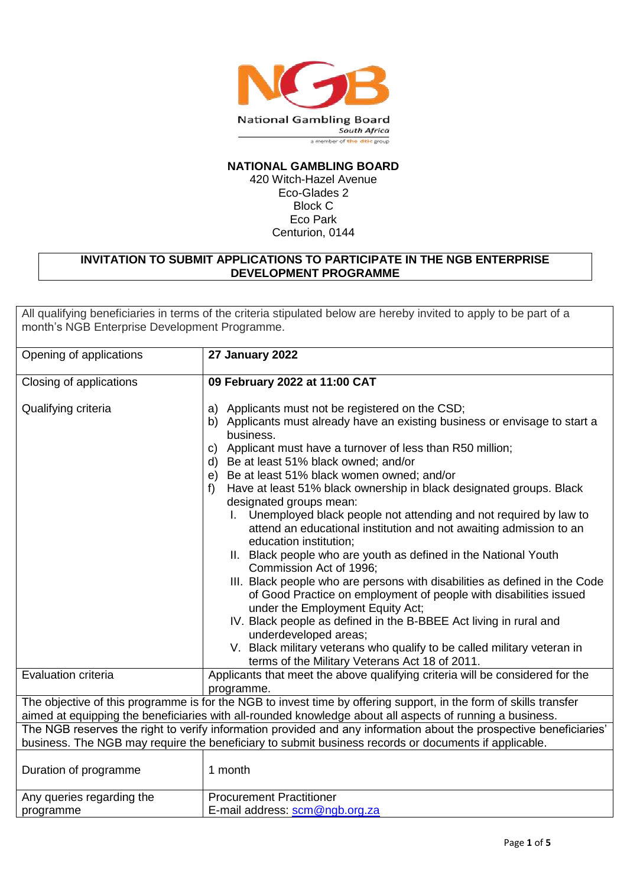

## **NATIONAL GAMBLING BOARD**

420 Witch-Hazel Avenue Eco-Glades 2 Block C Eco Park Centurion, 0144

### **INVITATION TO SUBMIT APPLICATIONS TO PARTICIPATE IN THE NGB ENTERPRISE DEVELOPMENT PROGRAMME**

All qualifying beneficiaries in terms of the criteria stipulated below are hereby invited to apply to be part of a month's NGB Enterprise Development Programme.

| Opening of applications                                                                                                                                                                                                       | 27 January 2022                                                                                                                                                                                                                                                                                                                                                                                                                                                                                                                                                                                                                                                                                                                                                                                                                                                                                                                                                                                                                                                                                              |  |
|-------------------------------------------------------------------------------------------------------------------------------------------------------------------------------------------------------------------------------|--------------------------------------------------------------------------------------------------------------------------------------------------------------------------------------------------------------------------------------------------------------------------------------------------------------------------------------------------------------------------------------------------------------------------------------------------------------------------------------------------------------------------------------------------------------------------------------------------------------------------------------------------------------------------------------------------------------------------------------------------------------------------------------------------------------------------------------------------------------------------------------------------------------------------------------------------------------------------------------------------------------------------------------------------------------------------------------------------------------|--|
| Closing of applications                                                                                                                                                                                                       | 09 February 2022 at 11:00 CAT                                                                                                                                                                                                                                                                                                                                                                                                                                                                                                                                                                                                                                                                                                                                                                                                                                                                                                                                                                                                                                                                                |  |
| Qualifying criteria                                                                                                                                                                                                           | Applicants must not be registered on the CSD;<br>a)<br>Applicants must already have an existing business or envisage to start a<br>b)<br>business.<br>Applicant must have a turnover of less than R50 million;<br>C)<br>d) Be at least 51% black owned; and/or<br>e) Be at least 51% black women owned; and/or<br>Have at least 51% black ownership in black designated groups. Black<br>f<br>designated groups mean:<br>I. Unemployed black people not attending and not required by law to<br>attend an educational institution and not awaiting admission to an<br>education institution;<br>II. Black people who are youth as defined in the National Youth<br>Commission Act of 1996;<br>III. Black people who are persons with disabilities as defined in the Code<br>of Good Practice on employment of people with disabilities issued<br>under the Employment Equity Act;<br>IV. Black people as defined in the B-BBEE Act living in rural and<br>underdeveloped areas;<br>V. Black military veterans who qualify to be called military veteran in<br>terms of the Military Veterans Act 18 of 2011. |  |
| Evaluation criteria                                                                                                                                                                                                           | Applicants that meet the above qualifying criteria will be considered for the<br>programme.                                                                                                                                                                                                                                                                                                                                                                                                                                                                                                                                                                                                                                                                                                                                                                                                                                                                                                                                                                                                                  |  |
| The objective of this programme is for the NGB to invest time by offering support, in the form of skills transfer<br>aimed at equipping the beneficiaries with all-rounded knowledge about all aspects of running a business. |                                                                                                                                                                                                                                                                                                                                                                                                                                                                                                                                                                                                                                                                                                                                                                                                                                                                                                                                                                                                                                                                                                              |  |
| The NGB reserves the right to verify information provided and any information about the prospective beneficiaries'<br>business. The NGB may require the beneficiary to submit business records or documents if applicable.    |                                                                                                                                                                                                                                                                                                                                                                                                                                                                                                                                                                                                                                                                                                                                                                                                                                                                                                                                                                                                                                                                                                              |  |
| Duration of programme                                                                                                                                                                                                         | 1 month                                                                                                                                                                                                                                                                                                                                                                                                                                                                                                                                                                                                                                                                                                                                                                                                                                                                                                                                                                                                                                                                                                      |  |
| Any queries regarding the<br>programme                                                                                                                                                                                        | <b>Procurement Practitioner</b><br>E-mail address: scm@ngb.org.za                                                                                                                                                                                                                                                                                                                                                                                                                                                                                                                                                                                                                                                                                                                                                                                                                                                                                                                                                                                                                                            |  |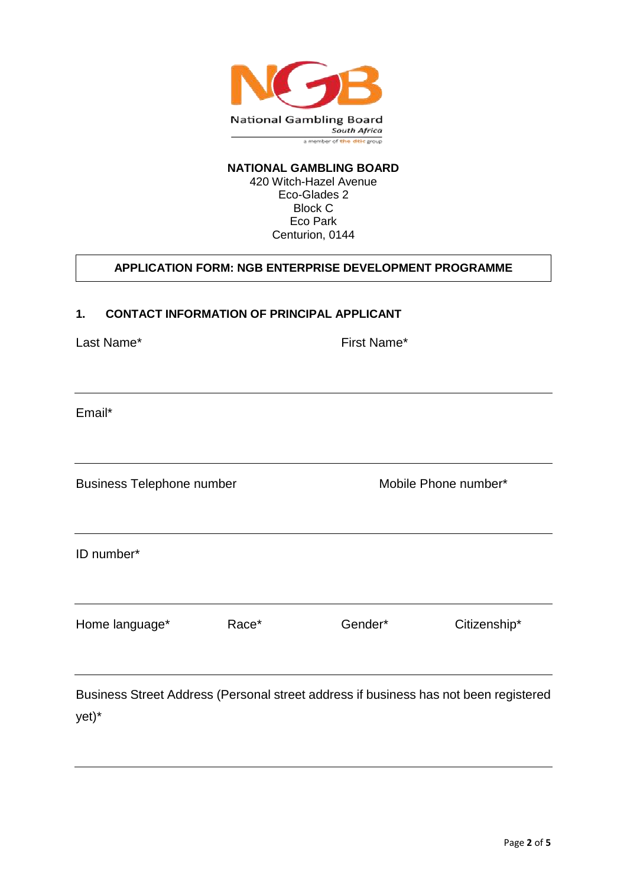

# **NATIONAL GAMBLING BOARD**

420 Witch-Hazel Avenue Eco-Glades 2 Block C Eco Park Centurion, 0144

# **APPLICATION FORM: NGB ENTERPRISE DEVELOPMENT PROGRAMME**

#### **1. CONTACT INFORMATION OF PRINCIPAL APPLICANT**

Last Name\* The Contract of the Contract of the First Name\*

Email\*

Business Telephone number Mobile Phone number\*

ID number\*

Home language\* Race\* Gender\* Citizenship\*

Business Street Address (Personal street address if business has not been registered yet)\*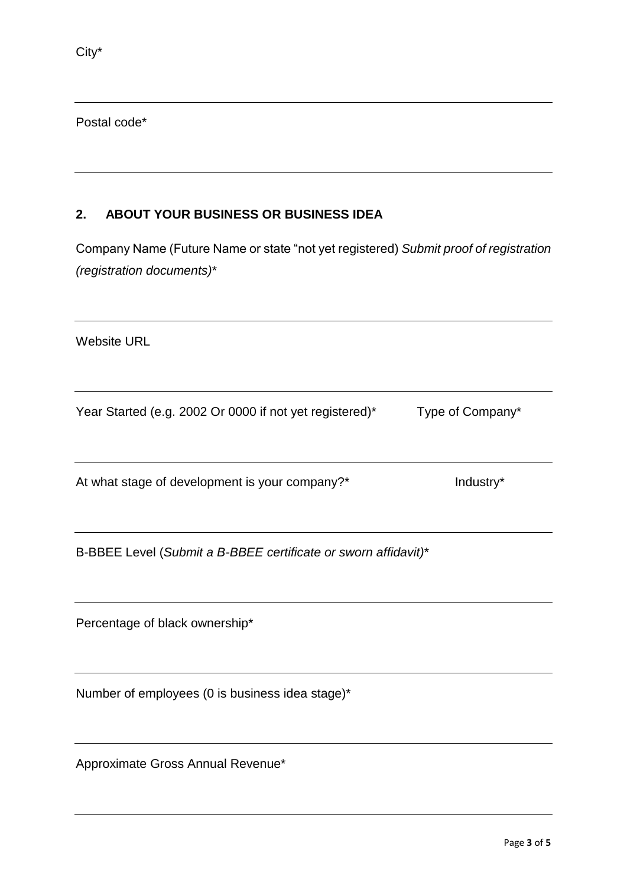Postal code\*

# **2. ABOUT YOUR BUSINESS OR BUSINESS IDEA**

Company Name (Future Name or state "not yet registered) *Submit proof of registration (registration documents)*\*

Website URL

Year Started (e.g. 2002 Or 0000 if not yet registered)\* Type of Company\*

At what stage of development is your company?\* Industry\* Industry\*

B-BBEE Level (*Submit a B-BBEE certificate or sworn affidavit)*\*

Percentage of black ownership\*

Number of employees (0 is business idea stage)\*

Approximate Gross Annual Revenue\*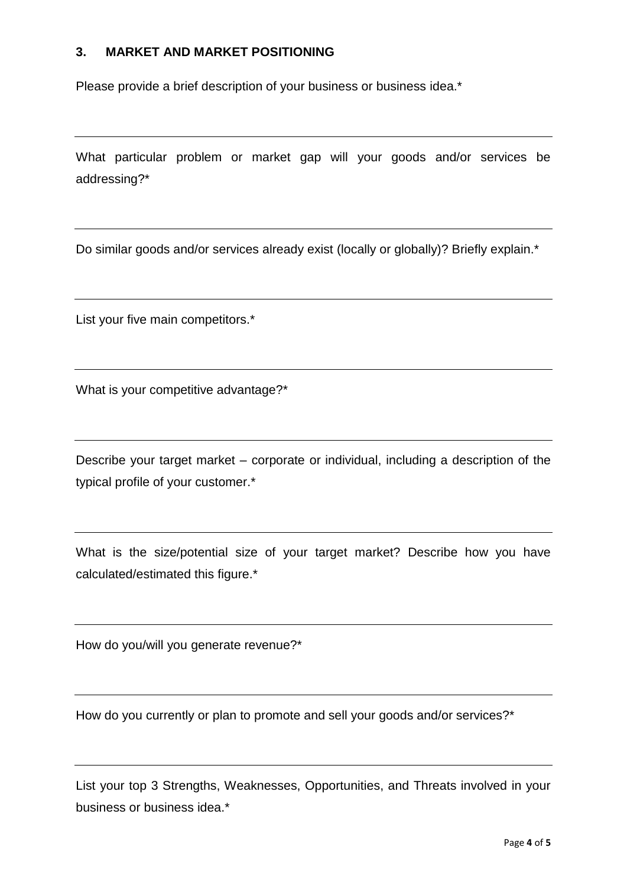# **3. MARKET AND MARKET POSITIONING**

Please provide a brief description of your business or business idea.\*

What particular problem or market gap will your goods and/or services be addressing?\*

Do similar goods and/or services already exist (locally or globally)? Briefly explain.\*

List your five main competitors.\*

What is your competitive advantage?\*

Describe your target market – corporate or individual, including a description of the typical profile of your customer.\*

What is the size/potential size of your target market? Describe how you have calculated/estimated this figure.\*

How do you/will you generate revenue?\*

How do you currently or plan to promote and sell your goods and/or services?\*

List your top 3 Strengths, Weaknesses, Opportunities, and Threats involved in your business or business idea.\*